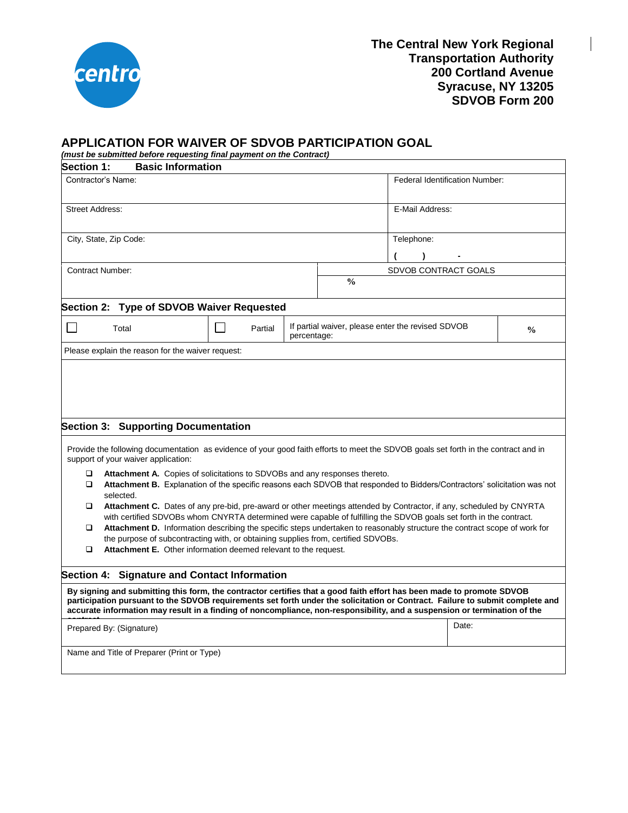

## **APPLICATION FOR WAIVER OF SDVOB PARTICIPATION GOAL**

*(must be submitted before requesting final payment on the Contract)*

| <b>Section 1:</b>                                                                                                                                                                                                                                                                                                                                                                                                                                                                                                                                                                                                                                                                                                                                                                                                                                                                                                                                                                                               | <b>Basic Information</b>                          |  |  |                      |                                                                    |  |  |
|-----------------------------------------------------------------------------------------------------------------------------------------------------------------------------------------------------------------------------------------------------------------------------------------------------------------------------------------------------------------------------------------------------------------------------------------------------------------------------------------------------------------------------------------------------------------------------------------------------------------------------------------------------------------------------------------------------------------------------------------------------------------------------------------------------------------------------------------------------------------------------------------------------------------------------------------------------------------------------------------------------------------|---------------------------------------------------|--|--|----------------------|--------------------------------------------------------------------|--|--|
| Contractor's Name:                                                                                                                                                                                                                                                                                                                                                                                                                                                                                                                                                                                                                                                                                                                                                                                                                                                                                                                                                                                              |                                                   |  |  |                      | Federal Identification Number:                                     |  |  |
| <b>Street Address:</b>                                                                                                                                                                                                                                                                                                                                                                                                                                                                                                                                                                                                                                                                                                                                                                                                                                                                                                                                                                                          |                                                   |  |  |                      | E-Mail Address:                                                    |  |  |
| City, State, Zip Code:                                                                                                                                                                                                                                                                                                                                                                                                                                                                                                                                                                                                                                                                                                                                                                                                                                                                                                                                                                                          |                                                   |  |  |                      | Telephone:                                                         |  |  |
|                                                                                                                                                                                                                                                                                                                                                                                                                                                                                                                                                                                                                                                                                                                                                                                                                                                                                                                                                                                                                 |                                                   |  |  |                      | $\lambda$                                                          |  |  |
| <b>Contract Number:</b>                                                                                                                                                                                                                                                                                                                                                                                                                                                                                                                                                                                                                                                                                                                                                                                                                                                                                                                                                                                         |                                                   |  |  | SDVOB CONTRACT GOALS |                                                                    |  |  |
|                                                                                                                                                                                                                                                                                                                                                                                                                                                                                                                                                                                                                                                                                                                                                                                                                                                                                                                                                                                                                 |                                                   |  |  | $\frac{0}{0}$        |                                                                    |  |  |
| Section 2: Type of SDVOB Waiver Requested                                                                                                                                                                                                                                                                                                                                                                                                                                                                                                                                                                                                                                                                                                                                                                                                                                                                                                                                                                       |                                                   |  |  |                      |                                                                    |  |  |
|                                                                                                                                                                                                                                                                                                                                                                                                                                                                                                                                                                                                                                                                                                                                                                                                                                                                                                                                                                                                                 | Partial<br>Total<br>percentage:                   |  |  |                      | If partial waiver, please enter the revised SDVOB<br>$\frac{0}{0}$ |  |  |
|                                                                                                                                                                                                                                                                                                                                                                                                                                                                                                                                                                                                                                                                                                                                                                                                                                                                                                                                                                                                                 | Please explain the reason for the waiver request: |  |  |                      |                                                                    |  |  |
| <b>Section 3: Supporting Documentation</b><br>Provide the following documentation as evidence of your good faith efforts to meet the SDVOB goals set forth in the contract and in<br>support of your waiver application:<br>❏<br>Attachment A. Copies of solicitations to SDVOBs and any responses thereto.<br>Attachment B. Explanation of the specific reasons each SDVOB that responded to Bidders/Contractors' solicitation was not<br>▫<br>selected.<br>Attachment C. Dates of any pre-bid, pre-award or other meetings attended by Contractor, if any, scheduled by CNYRTA<br>□<br>with certified SDVOBs whom CNYRTA determined were capable of fulfilling the SDVOB goals set forth in the contract.<br>Attachment D. Information describing the specific steps undertaken to reasonably structure the contract scope of work for<br>□<br>the purpose of subcontracting with, or obtaining supplies from, certified SDVOBs.<br>$\Box$<br>Attachment E. Other information deemed relevant to the request. |                                                   |  |  |                      |                                                                    |  |  |
| Section 4: Signature and Contact Information                                                                                                                                                                                                                                                                                                                                                                                                                                                                                                                                                                                                                                                                                                                                                                                                                                                                                                                                                                    |                                                   |  |  |                      |                                                                    |  |  |
| By signing and submitting this form, the contractor certifies that a good faith effort has been made to promote SDVOB<br>participation pursuant to the SDVOB requirements set forth under the solicitation or Contract. Failure to submit complete and<br>accurate information may result in a finding of noncompliance, non-responsibility, and a suspension or termination of the                                                                                                                                                                                                                                                                                                                                                                                                                                                                                                                                                                                                                             |                                                   |  |  |                      |                                                                    |  |  |
| Prepared By: (Signature)                                                                                                                                                                                                                                                                                                                                                                                                                                                                                                                                                                                                                                                                                                                                                                                                                                                                                                                                                                                        |                                                   |  |  |                      |                                                                    |  |  |
| Name and Title of Preparer (Print or Type)                                                                                                                                                                                                                                                                                                                                                                                                                                                                                                                                                                                                                                                                                                                                                                                                                                                                                                                                                                      |                                                   |  |  |                      |                                                                    |  |  |